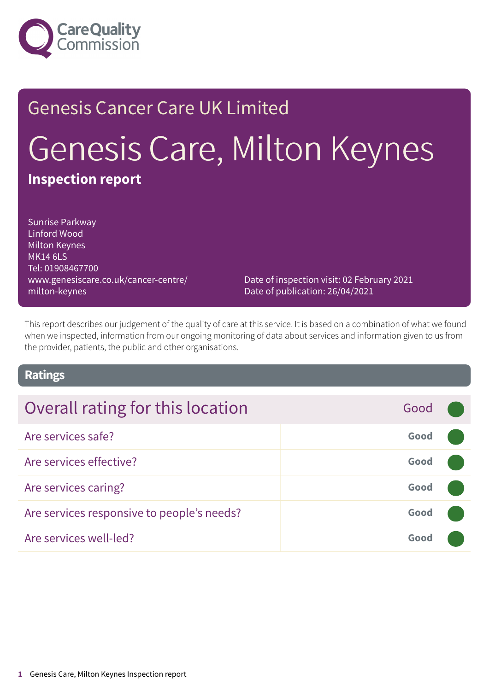

# Genesis Cancer Care UK Limited Genesis Care, Milton Keynes **Inspection report**

Sunrise Parkway Linford Wood Milton Keynes MK14 6LS Tel: 01908467700 www.genesiscare.co.uk/cancer-centre/ milton-keynes

Date of inspection visit: 02 February 2021 Date of publication: 26/04/2021

This report describes our judgement of the quality of care at this service. It is based on a combination of what we found when we inspected, information from our ongoing monitoring of data about services and information given to us from the provider, patients, the public and other organisations.

#### **Ratings**

# **Overall rating for this location Figure 4.1 Cood Good**

| Are services safe?                         | Good |  |
|--------------------------------------------|------|--|
| Are services effective?                    | Good |  |
| Are services caring?                       | Good |  |
| Are services responsive to people's needs? | Good |  |
| Are services well-led?                     | Good |  |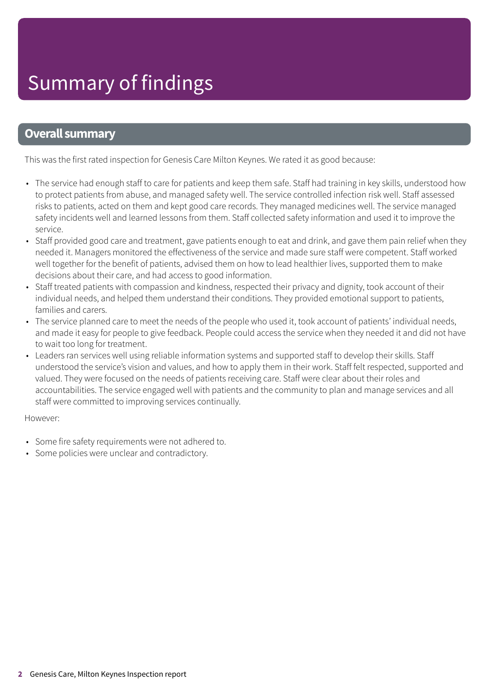#### **Overall summary**

This was the first rated inspection for Genesis Care Milton Keynes. We rated it as good because:

- The service had enough staff to care for patients and keep them safe. Staff had training in key skills, understood how to protect patients from abuse, and managed safety well. The service controlled infection risk well. Staff assessed risks to patients, acted on them and kept good care records. They managed medicines well. The service managed safety incidents well and learned lessons from them. Staff collected safety information and used it to improve the service.
- Staff provided good care and treatment, gave patients enough to eat and drink, and gave them pain relief when they needed it. Managers monitored the effectiveness of the service and made sure staff were competent. Staff worked well together for the benefit of patients, advised them on how to lead healthier lives, supported them to make decisions about their care, and had access to good information.
- Staff treated patients with compassion and kindness, respected their privacy and dignity, took account of their individual needs, and helped them understand their conditions. They provided emotional support to patients, families and carers.
- The service planned care to meet the needs of the people who used it, took account of patients' individual needs, and made it easy for people to give feedback. People could access the service when they needed it and did not have to wait too long for treatment.
- Leaders ran services well using reliable information systems and supported staff to develop their skills. Staff understood the service's vision and values, and how to apply them in their work. Staff felt respected, supported and valued. They were focused on the needs of patients receiving care. Staff were clear about their roles and accountabilities. The service engaged well with patients and the community to plan and manage services and all staff were committed to improving services continually.

However:

- Some fire safety requirements were not adhered to.
- Some policies were unclear and contradictory.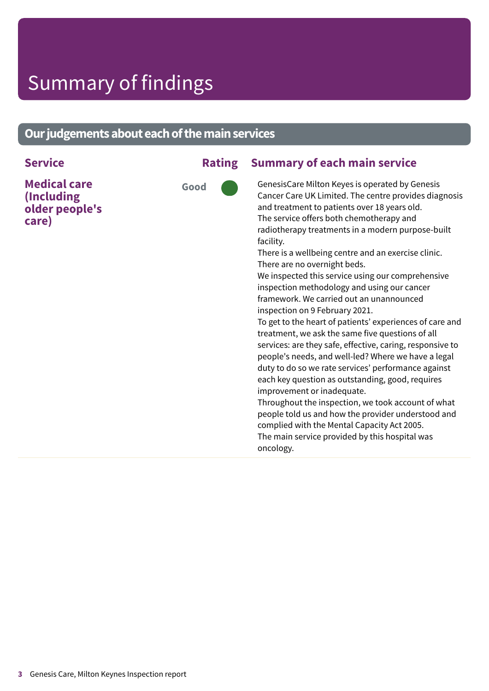### Summary of findings

#### **Our judgements about each of the main services**

#### **Service Rating Summary of each main service**

**Medical care (Including older people's care)**



GenesisCare Milton Keyes is operated by Genesis Cancer Care UK Limited. The centre provides diagnosis and treatment to patients over 18 years old. The service offers both chemotherapy and radiotherapy treatments in a modern purpose-built facility.

There is a wellbeing centre and an exercise clinic. There are no overnight beds.

We inspected this service using our comprehensive inspection methodology and using our cancer framework. We carried out an unannounced inspection on 9 February 2021.

To get to the heart of patients' experiences of care and treatment, we ask the same five questions of all services: are they safe, effective, caring, responsive to people's needs, and well-led? Where we have a legal duty to do so we rate services' performance against each key question as outstanding, good, requires improvement or inadequate.

Throughout the inspection, we took account of what people told us and how the provider understood and complied with the Mental Capacity Act 2005. The main service provided by this hospital was oncology.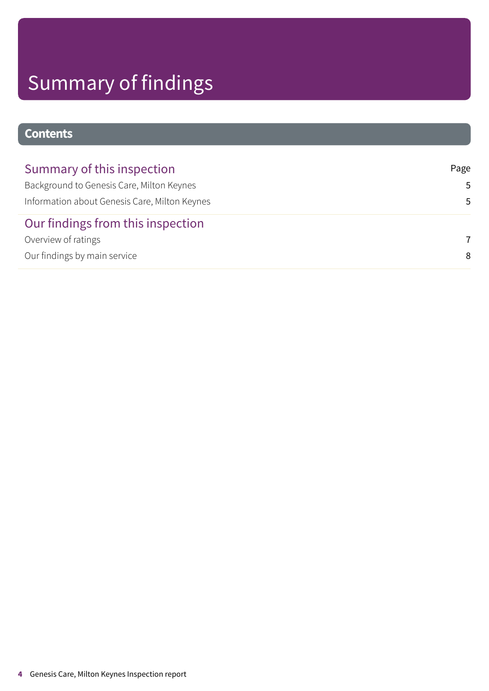# Summary of findings

#### **Contents**

| Summary of this inspection                    | Page |
|-----------------------------------------------|------|
| Background to Genesis Care, Milton Keynes     | .5.  |
| Information about Genesis Care, Milton Keynes | .5   |
| Our findings from this inspection             |      |
| Overview of ratings                           | 7    |
| Our findings by main service                  | 8    |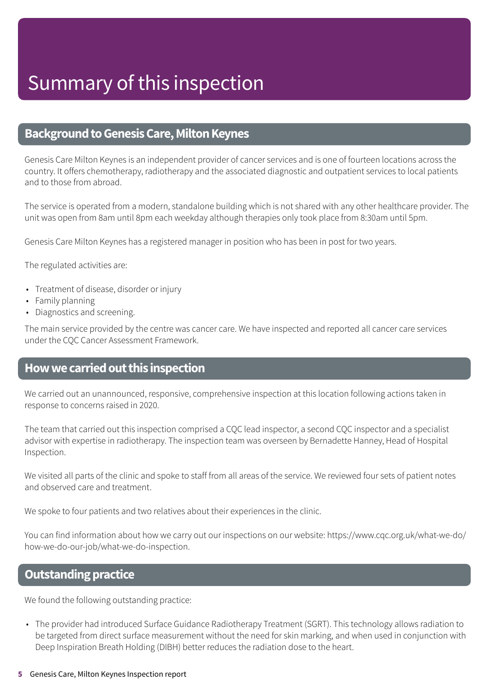#### <span id="page-4-0"></span>**Background to Genesis Care, Milton Keynes**

Genesis Care Milton Keynes is an independent provider of cancer services and is one of fourteen locations across the country. It offers chemotherapy, radiotherapy and the associated diagnostic and outpatient services to local patients and to those from abroad.

The service is operated from a modern, standalone building which is not shared with any other healthcare provider. The unit was open from 8am until 8pm each weekday although therapies only took place from 8:30am until 5pm.

Genesis Care Milton Keynes has a registered manager in position who has been in post for two years.

The regulated activities are:

- Treatment of disease, disorder or injury
- Family planning
- Diagnostics and screening.

The main service provided by the centre was cancer care. We have inspected and reported all cancer care services under the CQC Cancer Assessment Framework.

#### <span id="page-4-1"></span>**Howwecarriedoutthis inspection**

We carried out an unannounced, responsive, comprehensive inspection at this location following actions taken in response to concerns raised in 2020.

The team that carried out this inspection comprised a CQC lead inspector, a second CQC inspector and a specialist advisor with expertise in radiotherapy. The inspection team was overseen by Bernadette Hanney, Head of Hospital Inspection.

We visited all parts of the clinic and spoke to staff from all areas of the service. We reviewed four sets of patient notes and observed care and treatment.

We spoke to four patients and two relatives about their experiences in the clinic.

You can find information about how we carry out our inspections on our website: https://www.cqc.org.uk/what-we-do/ how-we-do-our-job/what-we-do-inspection.

#### **Outstanding practice**

We found the following outstanding practice:

• The provider had introduced Surface Guidance Radiotherapy Treatment (SGRT). This technology allows radiation to be targeted from direct surface measurement without the need for skin marking, and when used in conjunction with Deep Inspiration Breath Holding (DIBH) better reduces the radiation dose to the heart.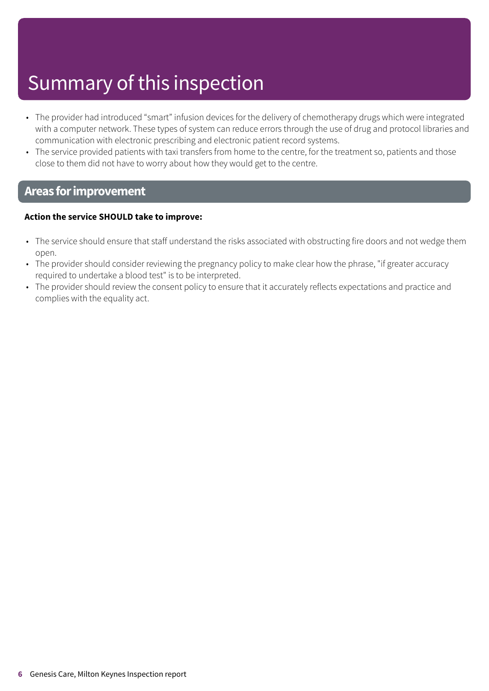### Summary of this inspection

- The provider had introduced "smart" infusion devices for the delivery of chemotherapy drugs which were integrated with a computer network. These types of system can reduce errors through the use of drug and protocol libraries and communication with electronic prescribing and electronic patient record systems.
- The service provided patients with taxi transfers from home to the centre, for the treatment so, patients and those close to them did not have to worry about how they would get to the centre.

#### **Areas forimprovement**

#### **Action the service SHOULD take to improve:**

- The service should ensure that staff understand the risks associated with obstructing fire doors and not wedge them open.
- The provider should consider reviewing the pregnancy policy to make clear how the phrase, "if greater accuracy required to undertake a blood test" is to be interpreted.
- The provider should review the consent policy to ensure that it accurately reflects expectations and practice and complies with the equality act.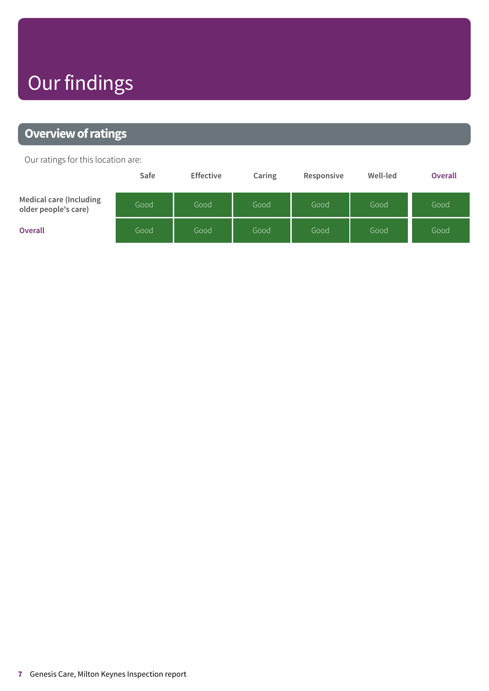## Our findings

### <span id="page-6-0"></span>**Overview of ratings**

Our ratings for this location are:

|                                                 | Safe | <b>Effective</b> | Caring | Responsive | Well-led | <b>Overall</b> |
|-------------------------------------------------|------|------------------|--------|------------|----------|----------------|
| Medical care (Including<br>older people's care) | Good | Good             | Good   | Good       | Good     | Good           |
| <b>Overall</b>                                  | Good | Good             | Good   | Good       | Good     | Good           |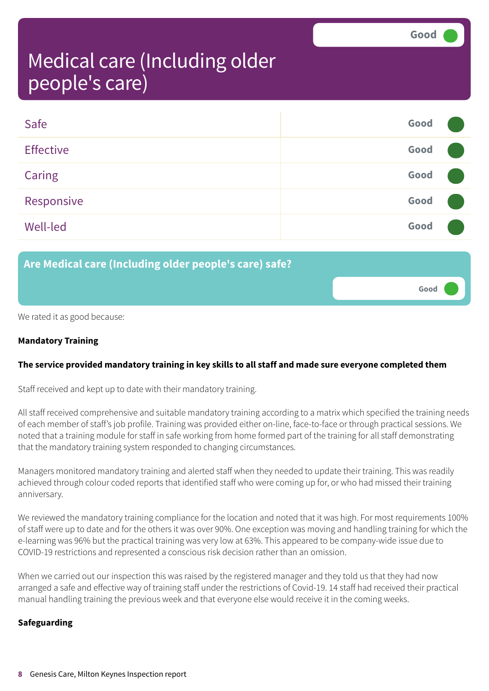**Good –––**

### <span id="page-7-0"></span>Medical care (Including older people's care)

| Safe             | Good |  |
|------------------|------|--|
| <b>Effective</b> | Good |  |
| Caring           | Good |  |
| Responsive       | Good |  |
| <b>Well-led</b>  | Good |  |

#### **Are Medical care (Including older people's care) safe?**

We rated it as good because:

#### **Mandatory Training**

#### **The service provided mandatory training in key skills to all staff and made sure everyone completed them**

Staff received and kept up to date with their mandatory training.

All staff received comprehensive and suitable mandatory training according to a matrix which specified the training needs of each member of staff's job profile. Training was provided either on-line, face-to-face or through practical sessions. We noted that a training module for staff in safe working from home formed part of the training for all staff demonstrating that the mandatory training system responded to changing circumstances.

Managers monitored mandatory training and alerted staff when they needed to update their training. This was readily achieved through colour coded reports that identified staff who were coming up for, or who had missed their training anniversary.

We reviewed the mandatory training compliance for the location and noted that it was high. For most requirements 100% of staff were up to date and for the others it was over 90%. One exception was moving and handling training for which the e-learning was 96% but the practical training was very low at 63%. This appeared to be company-wide issue due to COVID-19 restrictions and represented a conscious risk decision rather than an omission.

When we carried out our inspection this was raised by the registered manager and they told us that they had now arranged a safe and effective way of training staff under the restrictions of Covid-19. 14 staff had received their practical manual handling training the previous week and that everyone else would receive it in the coming weeks.

#### **Safeguarding**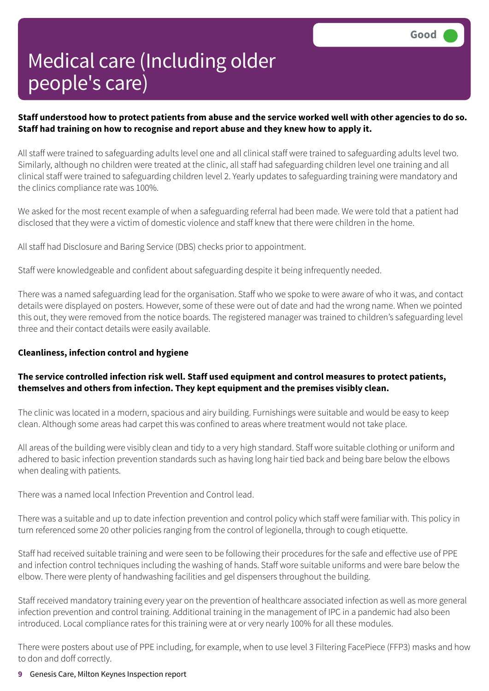#### Staff understood how to protect patients from abuse and the service worked well with other agencies to do so. **Staff had training on how to recognise and report abuse and they knew how to apply it.**

All staff were trained to safeguarding adults level one and all clinical staff were trained to safeguarding adults level two. Similarly, although no children were treated at the clinic, all staff had safeguarding children level one training and all clinical staff were trained to safeguarding children level 2. Yearly updates to safeguarding training were mandatory and the clinics compliance rate was 100%.

We asked for the most recent example of when a safeguarding referral had been made. We were told that a patient had disclosed that they were a victim of domestic violence and staff knew that there were children in the home.

All staff had Disclosure and Baring Service (DBS) checks prior to appointment.

Staff were knowledgeable and confident about safeguarding despite it being infrequently needed.

There was a named safeguarding lead for the organisation. Staff who we spoke to were aware of who it was, and contact details were displayed on posters. However, some of these were out of date and had the wrong name. When we pointed this out, they were removed from the notice boards. The registered manager was trained to children's safeguarding level three and their contact details were easily available.

#### **Cleanliness, infection control and hygiene**

#### **The service controlled infection risk well. Staff used equipment and control measures to protect patients, themselves and others from infection. They kept equipment and the premises visibly clean.**

The clinic was located in a modern, spacious and airy building. Furnishings were suitable and would be easy to keep clean. Although some areas had carpet this was confined to areas where treatment would not take place.

All areas of the building were visibly clean and tidy to a very high standard. Staff wore suitable clothing or uniform and adhered to basic infection prevention standards such as having long hair tied back and being bare below the elbows when dealing with patients.

There was a named local Infection Prevention and Control lead.

There was a suitable and up to date infection prevention and control policy which staff were familiar with. This policy in turn referenced some 20 other policies ranging from the control of legionella, through to cough etiquette.

Staff had received suitable training and were seen to be following their procedures for the safe and effective use of PPE and infection control techniques including the washing of hands. Staff wore suitable uniforms and were bare below the elbow. There were plenty of handwashing facilities and gel dispensers throughout the building.

Staff received mandatory training every year on the prevention of healthcare associated infection as well as more general infection prevention and control training. Additional training in the management of IPC in a pandemic had also been introduced. Local compliance rates for this training were at or very nearly 100% for all these modules.

There were posters about use of PPE including, for example, when to use level 3 Filtering FacePiece (FFP3) masks and how to don and doff correctly.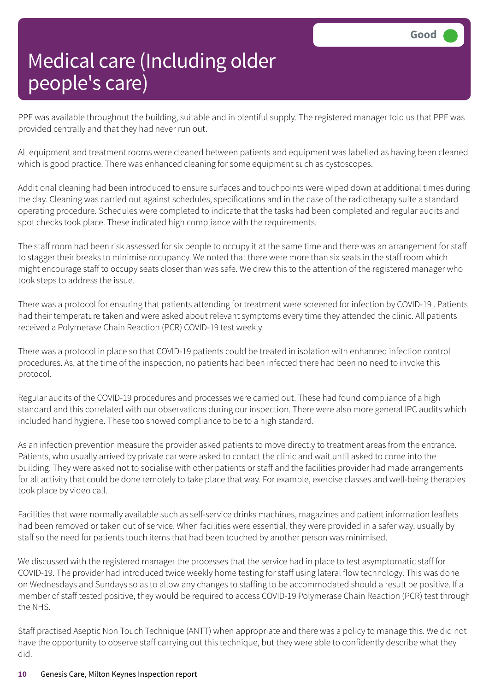PPE was available throughout the building, suitable and in plentiful supply. The registered manager told us that PPE was provided centrally and that they had never run out.

All equipment and treatment rooms were cleaned between patients and equipment was labelled as having been cleaned which is good practice. There was enhanced cleaning for some equipment such as cystoscopes.

Additional cleaning had been introduced to ensure surfaces and touchpoints were wiped down at additional times during the day. Cleaning was carried out against schedules, specifications and in the case of the radiotherapy suite a standard operating procedure. Schedules were completed to indicate that the tasks had been completed and regular audits and spot checks took place. These indicated high compliance with the requirements.

The staff room had been risk assessed for six people to occupy it at the same time and there was an arrangement for staff to stagger their breaks to minimise occupancy. We noted that there were more than six seats in the staff room which might encourage staff to occupy seats closer than was safe. We drew this to the attention of the registered manager who took steps to address the issue.

There was a protocol for ensuring that patients attending for treatment were screened for infection by COVID-19 . Patients had their temperature taken and were asked about relevant symptoms every time they attended the clinic. All patients received a Polymerase Chain Reaction (PCR) COVID-19 test weekly.

There was a protocol in place so that COVID-19 patients could be treated in isolation with enhanced infection control procedures. As, at the time of the inspection, no patients had been infected there had been no need to invoke this protocol.

Regular audits of the COVID-19 procedures and processes were carried out. These had found compliance of a high standard and this correlated with our observations during our inspection. There were also more general IPC audits which included hand hygiene. These too showed compliance to be to a high standard.

As an infection prevention measure the provider asked patients to move directly to treatment areas from the entrance. Patients, who usually arrived by private car were asked to contact the clinic and wait until asked to come into the building. They were asked not to socialise with other patients or staff and the facilities provider had made arrangements for all activity that could be done remotely to take place that way. For example, exercise classes and well-being therapies took place by video call.

Facilities that were normally available such as self-service drinks machines, magazines and patient information leaflets had been removed or taken out of service. When facilities were essential, they were provided in a safer way, usually by staff so the need for patients touch items that had been touched by another person was minimised.

We discussed with the registered manager the processes that the service had in place to test asymptomatic staff for COVID-19. The provider had introduced twice weekly home testing for staff using lateral flow technology. This was done on Wednesdays and Sundays so as to allow any changes to staffing to be accommodated should a result be positive. If a member of staff tested positive, they would be required to access COVID-19 Polymerase Chain Reaction (PCR) test through the NHS.

Staff practised Aseptic Non Touch Technique (ANTT) when appropriate and there was a policy to manage this. We did not have the opportunity to observe staff carrying out this technique, but they were able to confidently describe what they did.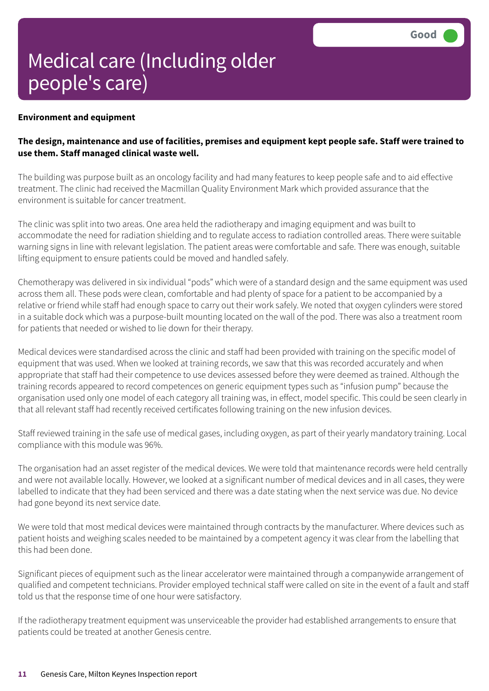#### **Environment and equipment**

#### The design, maintenance and use of facilities, premises and equipment kept people safe. Staff were trained to **use them. Staff managed clinical waste well.**

The building was purpose built as an oncology facility and had many features to keep people safe and to aid effective treatment. The clinic had received the Macmillan Quality Environment Mark which provided assurance that the environment is suitable for cancer treatment.

The clinic was split into two areas. One area held the radiotherapy and imaging equipment and was built to accommodate the need for radiation shielding and to regulate access to radiation controlled areas. There were suitable warning signs in line with relevant legislation. The patient areas were comfortable and safe. There was enough, suitable lifting equipment to ensure patients could be moved and handled safely.

Chemotherapy was delivered in six individual "pods" which were of a standard design and the same equipment was used across them all. These pods were clean, comfortable and had plenty of space for a patient to be accompanied by a relative or friend while staff had enough space to carry out their work safely. We noted that oxygen cylinders were stored in a suitable dock which was a purpose-built mounting located on the wall of the pod. There was also a treatment room for patients that needed or wished to lie down for their therapy.

Medical devices were standardised across the clinic and staff had been provided with training on the specific model of equipment that was used. When we looked at training records, we saw that this was recorded accurately and when appropriate that staff had their competence to use devices assessed before they were deemed as trained. Although the training records appeared to record competences on generic equipment types such as "infusion pump" because the organisation used only one model of each category all training was, in effect, model specific. This could be seen clearly in that all relevant staff had recently received certificates following training on the new infusion devices.

Staff reviewed training in the safe use of medical gases, including oxygen, as part of their yearly mandatory training. Local compliance with this module was 96%.

The organisation had an asset register of the medical devices. We were told that maintenance records were held centrally and were not available locally. However, we looked at a significant number of medical devices and in all cases, they were labelled to indicate that they had been serviced and there was a date stating when the next service was due. No device had gone beyond its next service date.

We were told that most medical devices were maintained through contracts by the manufacturer. Where devices such as patient hoists and weighing scales needed to be maintained by a competent agency it was clear from the labelling that this had been done.

Significant pieces of equipment such as the linear accelerator were maintained through a companywide arrangement of qualified and competent technicians. Provider employed technical staff were called on site in the event of a fault and staff told us that the response time of one hour were satisfactory.

If the radiotherapy treatment equipment was unserviceable the provider had established arrangements to ensure that patients could be treated at another Genesis centre.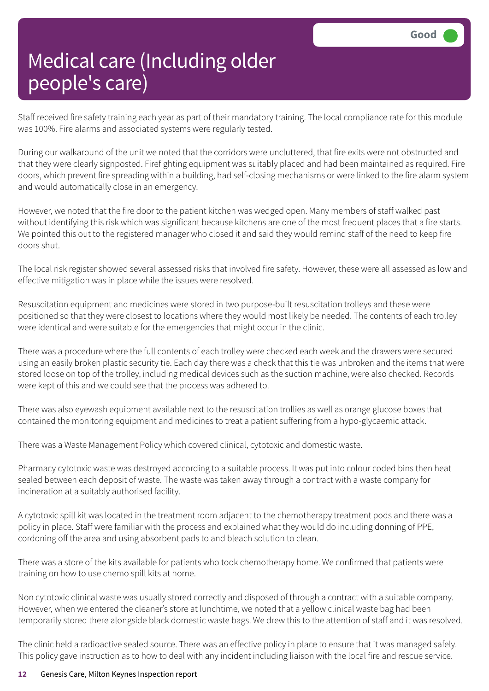Staff received fire safety training each year as part of their mandatory training. The local compliance rate for this module was 100%. Fire alarms and associated systems were regularly tested.

During our walkaround of the unit we noted that the corridors were uncluttered, that fire exits were not obstructed and that they were clearly signposted. Firefighting equipment was suitably placed and had been maintained as required. Fire doors, which prevent fire spreading within a building, had self-closing mechanisms or were linked to the fire alarm system and would automatically close in an emergency.

However, we noted that the fire door to the patient kitchen was wedged open. Many members of staff walked past without identifying this risk which was significant because kitchens are one of the most frequent places that a fire starts. We pointed this out to the registered manager who closed it and said they would remind staff of the need to keep fire doors shut.

The local risk register showed several assessed risks that involved fire safety. However, these were all assessed as low and effective mitigation was in place while the issues were resolved.

Resuscitation equipment and medicines were stored in two purpose-built resuscitation trolleys and these were positioned so that they were closest to locations where they would most likely be needed. The contents of each trolley were identical and were suitable for the emergencies that might occur in the clinic.

There was a procedure where the full contents of each trolley were checked each week and the drawers were secured using an easily broken plastic security tie. Each day there was a check that this tie was unbroken and the items that were stored loose on top of the trolley, including medical devices such as the suction machine, were also checked. Records were kept of this and we could see that the process was adhered to.

There was also eyewash equipment available next to the resuscitation trollies as well as orange glucose boxes that contained the monitoring equipment and medicines to treat a patient suffering from a hypo-glycaemic attack.

There was a Waste Management Policy which covered clinical, cytotoxic and domestic waste.

Pharmacy cytotoxic waste was destroyed according to a suitable process. It was put into colour coded bins then heat sealed between each deposit of waste. The waste was taken away through a contract with a waste company for incineration at a suitably authorised facility.

A cytotoxic spill kit was located in the treatment room adjacent to the chemotherapy treatment pods and there was a policy in place. Staff were familiar with the process and explained what they would do including donning of PPE, cordoning off the area and using absorbent pads to and bleach solution to clean.

There was a store of the kits available for patients who took chemotherapy home. We confirmed that patients were training on how to use chemo spill kits at home.

Non cytotoxic clinical waste was usually stored correctly and disposed of through a contract with a suitable company. However, when we entered the cleaner's store at lunchtime, we noted that a yellow clinical waste bag had been temporarily stored there alongside black domestic waste bags. We drew this to the attention of staff and it was resolved.

The clinic held a radioactive sealed source. There was an effective policy in place to ensure that it was managed safely. This policy gave instruction as to how to deal with any incident including liaison with the local fire and rescue service.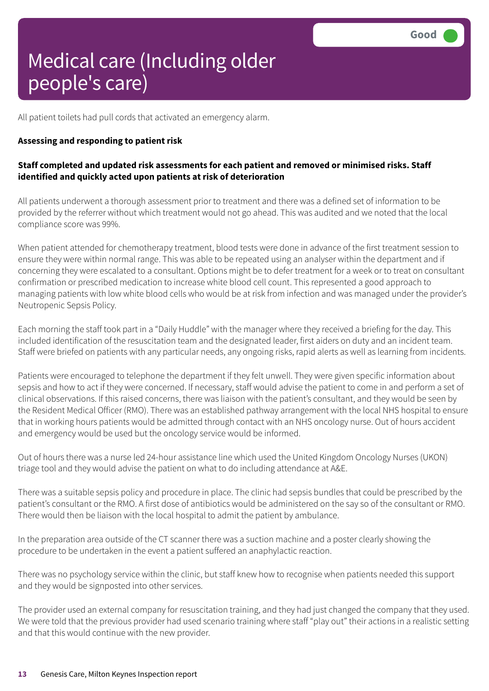All patient toilets had pull cords that activated an emergency alarm.

#### **Assessing and responding to patient risk**

#### **Staff completed and updated risk assessments for each patient and removed or minimised risks. Staff identified and quickly acted upon patients at risk of deterioration**

All patients underwent a thorough assessment prior to treatment and there was a defined set of information to be provided by the referrer without which treatment would not go ahead. This was audited and we noted that the local compliance score was 99%.

When patient attended for chemotherapy treatment, blood tests were done in advance of the first treatment session to ensure they were within normal range. This was able to be repeated using an analyser within the department and if concerning they were escalated to a consultant. Options might be to defer treatment for a week or to treat on consultant confirmation or prescribed medication to increase white blood cell count. This represented a good approach to managing patients with low white blood cells who would be at risk from infection and was managed under the provider's Neutropenic Sepsis Policy.

Each morning the staff took part in a "Daily Huddle" with the manager where they received a briefing for the day. This included identification of the resuscitation team and the designated leader, first aiders on duty and an incident team. Staff were briefed on patients with any particular needs, any ongoing risks, rapid alerts as well as learning from incidents.

Patients were encouraged to telephone the department if they felt unwell. They were given specific information about sepsis and how to act if they were concerned. If necessary, staff would advise the patient to come in and perform a set of clinical observations. If this raised concerns, there was liaison with the patient's consultant, and they would be seen by the Resident Medical Officer (RMO). There was an established pathway arrangement with the local NHS hospital to ensure that in working hours patients would be admitted through contact with an NHS oncology nurse. Out of hours accident and emergency would be used but the oncology service would be informed.

Out of hours there was a nurse led 24-hour assistance line which used the United Kingdom Oncology Nurses (UKON) triage tool and they would advise the patient on what to do including attendance at A&E.

There was a suitable sepsis policy and procedure in place. The clinic had sepsis bundles that could be prescribed by the patient's consultant or the RMO. A first dose of antibiotics would be administered on the say so of the consultant or RMO. There would then be liaison with the local hospital to admit the patient by ambulance.

In the preparation area outside of the CT scanner there was a suction machine and a poster clearly showing the procedure to be undertaken in the event a patient suffered an anaphylactic reaction.

There was no psychology service within the clinic, but staff knew how to recognise when patients needed this support and they would be signposted into other services.

The provider used an external company for resuscitation training, and they had just changed the company that they used. We were told that the previous provider had used scenario training where staff "play out" their actions in a realistic setting and that this would continue with the new provider.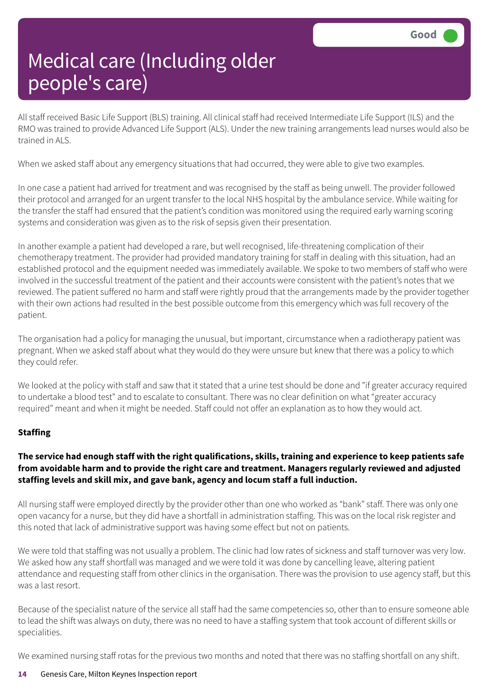All staff received Basic Life Support (BLS) training. All clinical staff had received Intermediate Life Support (ILS) and the RMO was trained to provide Advanced Life Support (ALS). Under the new training arrangements lead nurses would also be trained in ALS.

When we asked staff about any emergency situations that had occurred, they were able to give two examples.

In one case a patient had arrived for treatment and was recognised by the staff as being unwell. The provider followed their protocol and arranged for an urgent transfer to the local NHS hospital by the ambulance service. While waiting for the transfer the staff had ensured that the patient's condition was monitored using the required early warning scoring systems and consideration was given as to the risk of sepsis given their presentation.

In another example a patient had developed a rare, but well recognised, life-threatening complication of their chemotherapy treatment. The provider had provided mandatory training for staff in dealing with this situation, had an established protocol and the equipment needed was immediately available. We spoke to two members of staff who were involved in the successful treatment of the patient and their accounts were consistent with the patient's notes that we reviewed. The patient suffered no harm and staff were rightly proud that the arrangements made by the provider together with their own actions had resulted in the best possible outcome from this emergency which was full recovery of the patient.

The organisation had a policy for managing the unusual, but important, circumstance when a radiotherapy patient was pregnant. When we asked staff about what they would do they were unsure but knew that there was a policy to which they could refer.

We looked at the policy with staff and saw that it stated that a urine test should be done and "if greater accuracy required to undertake a blood test" and to escalate to consultant. There was no clear definition on what "greater accuracy required" meant and when it might be needed. Staff could not offer an explanation as to how they would act.

#### **Staffing**

#### The service had enough staff with the right qualifications, skills, training and experience to keep patients safe **from avoidable harm and to provide the right care and treatment. Managers regularly reviewed and adjusted staffing levels and skill mix, and gave bank, agency and locum staff a full induction.**

All nursing staff were employed directly by the provider other than one who worked as "bank" staff. There was only one open vacancy for a nurse, but they did have a shortfall in administration staffing. This was on the local risk register and this noted that lack of administrative support was having some effect but not on patients.

We were told that staffing was not usually a problem. The clinic had low rates of sickness and staff turnover was very low. We asked how any staff shortfall was managed and we were told it was done by cancelling leave, altering patient attendance and requesting staff from other clinics in the organisation. There was the provision to use agency staff, but this was a last resort.

Because of the specialist nature of the service all staff had the same competencies so, other than to ensure someone able to lead the shift was always on duty, there was no need to have a staffing system that took account of different skills or specialities.

We examined nursing staff rotas for the previous two months and noted that there was no staffing shortfall on any shift.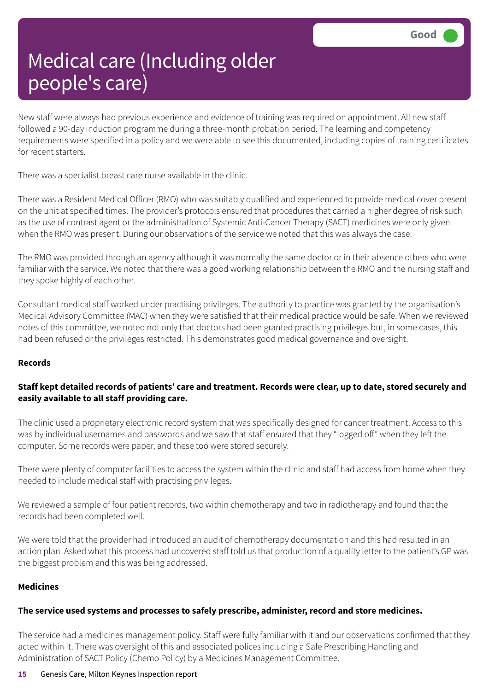New staff were always had previous experience and evidence of training was required on appointment. All new staff followed a 90-day induction programme during a three-month probation period. The learning and competency requirements were specified in a policy and we were able to see this documented, including copies of training certificates for recent starters.

There was a specialist breast care nurse available in the clinic.

There was a Resident Medical Officer (RMO) who was suitably qualified and experienced to provide medical cover present on the unit at specified times. The provider's protocols ensured that procedures that carried a higher degree of risk such as the use of contrast agent or the administration of Systemic Anti-Cancer Therapy (SACT) medicines were only given when the RMO was present. During our observations of the service we noted that this was always the case.

The RMO was provided through an agency although it was normally the same doctor or in their absence others who were familiar with the service. We noted that there was a good working relationship between the RMO and the nursing staff and they spoke highly of each other.

Consultant medical staff worked under practising privileges. The authority to practice was granted by the organisation's Medical Advisory Committee (MAC) when they were satisfied that their medical practice would be safe. When we reviewed notes of this committee, we noted not only that doctors had been granted practising privileges but, in some cases, this had been refused or the privileges restricted. This demonstrates good medical governance and oversight.

#### **Records**

#### Staff kept detailed records of patients' care and treatment. Records were clear, up to date, stored securely and **easily available to all staff providing care.**

The clinic used a proprietary electronic record system that was specifically designed for cancer treatment. Access to this was by individual usernames and passwords and we saw that staff ensured that they "logged off" when they left the computer. Some records were paper, and these too were stored securely.

There were plenty of computer facilities to access the system within the clinic and staff had access from home when they needed to include medical staff with practising privileges.

We reviewed a sample of four patient records, two within chemotherapy and two in radiotherapy and found that the records had been completed well.

We were told that the provider had introduced an audit of chemotherapy documentation and this had resulted in an action plan. Asked what this process had uncovered staff told us that production of a quality letter to the patient's GP was the biggest problem and this was being addressed.

#### **Medicines**

#### **The service used systems and processes to safely prescribe, administer, record and store medicines.**

The service had a medicines management policy. Staff were fully familiar with it and our observations confirmed that they acted within it. There was oversight of this and associated polices including a Safe Prescribing Handling and Administration of SACT Policy (Chemo Policy) by a Medicines Management Committee.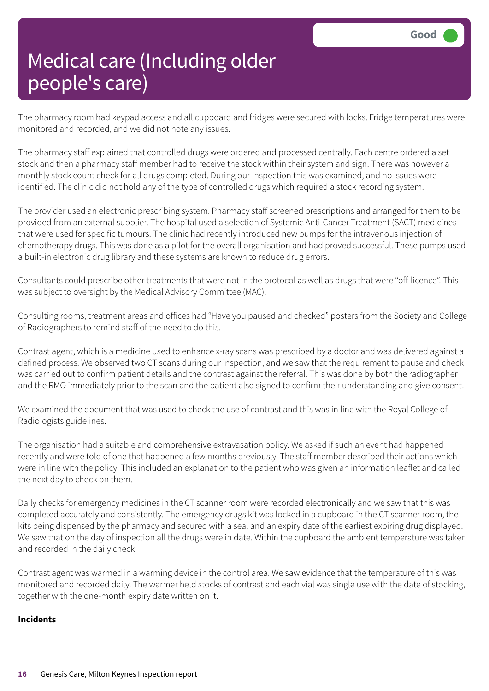The pharmacy room had keypad access and all cupboard and fridges were secured with locks. Fridge temperatures were monitored and recorded, and we did not note any issues.

The pharmacy staff explained that controlled drugs were ordered and processed centrally. Each centre ordered a set stock and then a pharmacy staff member had to receive the stock within their system and sign. There was however a monthly stock count check for all drugs completed. During our inspection this was examined, and no issues were identified. The clinic did not hold any of the type of controlled drugs which required a stock recording system.

The provider used an electronic prescribing system. Pharmacy staff screened prescriptions and arranged for them to be provided from an external supplier. The hospital used a selection of Systemic Anti-Cancer Treatment (SACT) medicines that were used for specific tumours. The clinic had recently introduced new pumps for the intravenous injection of chemotherapy drugs. This was done as a pilot for the overall organisation and had proved successful. These pumps used a built-in electronic drug library and these systems are known to reduce drug errors.

Consultants could prescribe other treatments that were not in the protocol as well as drugs that were "off-licence". This was subject to oversight by the Medical Advisory Committee (MAC).

Consulting rooms, treatment areas and offices had "Have you paused and checked" posters from the Society and College of Radiographers to remind staff of the need to do this.

Contrast agent, which is a medicine used to enhance x-ray scans was prescribed by a doctor and was delivered against a defined process. We observed two CT scans during our inspection, and we saw that the requirement to pause and check was carried out to confirm patient details and the contrast against the referral. This was done by both the radiographer and the RMO immediately prior to the scan and the patient also signed to confirm their understanding and give consent.

We examined the document that was used to check the use of contrast and this was in line with the Royal College of Radiologists guidelines.

The organisation had a suitable and comprehensive extravasation policy. We asked if such an event had happened recently and were told of one that happened a few months previously. The staff member described their actions which were in line with the policy. This included an explanation to the patient who was given an information leaflet and called the next day to check on them.

Daily checks for emergency medicines in the CT scanner room were recorded electronically and we saw that this was completed accurately and consistently. The emergency drugs kit was locked in a cupboard in the CT scanner room, the kits being dispensed by the pharmacy and secured with a seal and an expiry date of the earliest expiring drug displayed. We saw that on the day of inspection all the drugs were in date. Within the cupboard the ambient temperature was taken and recorded in the daily check.

Contrast agent was warmed in a warming device in the control area. We saw evidence that the temperature of this was monitored and recorded daily. The warmer held stocks of contrast and each vial was single use with the date of stocking, together with the one-month expiry date written on it.

#### **Incidents**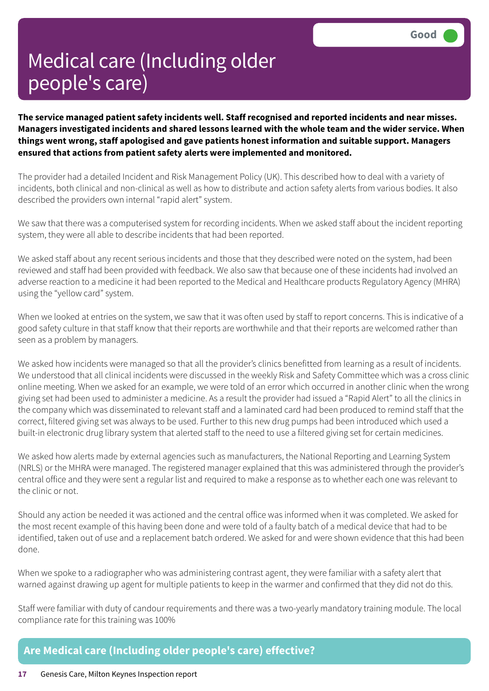**The service managed patient safety incidents well. Staff recognised and reported incidents and near misses. Managers investigated incidents and shared lessons learned with the whole team and the wider service. When things went wrong, staff apologised and gave patients honest information and suitable support. Managers ensured that actions from patient safety alerts were implemented and monitored.**

The provider had a detailed Incident and Risk Management Policy (UK). This described how to deal with a variety of incidents, both clinical and non-clinical as well as how to distribute and action safety alerts from various bodies. It also described the providers own internal "rapid alert" system.

We saw that there was a computerised system for recording incidents. When we asked staff about the incident reporting system, they were all able to describe incidents that had been reported.

We asked staff about any recent serious incidents and those that they described were noted on the system, had been reviewed and staff had been provided with feedback. We also saw that because one of these incidents had involved an adverse reaction to a medicine it had been reported to the Medical and Healthcare products Regulatory Agency (MHRA) using the "yellow card" system.

When we looked at entries on the system, we saw that it was often used by staff to report concerns. This is indicative of a good safety culture in that staff know that their reports are worthwhile and that their reports are welcomed rather than seen as a problem by managers.

We asked how incidents were managed so that all the provider's clinics benefitted from learning as a result of incidents. We understood that all clinical incidents were discussed in the weekly Risk and Safety Committee which was a cross clinic online meeting. When we asked for an example, we were told of an error which occurred in another clinic when the wrong giving set had been used to administer a medicine. As a result the provider had issued a "Rapid Alert" to all the clinics in the company which was disseminated to relevant staff and a laminated card had been produced to remind staff that the correct, filtered giving set was always to be used. Further to this new drug pumps had been introduced which used a built-in electronic drug library system that alerted staff to the need to use a filtered giving set for certain medicines.

We asked how alerts made by external agencies such as manufacturers, the National Reporting and Learning System (NRLS) or the MHRA were managed. The registered manager explained that this was administered through the provider's central office and they were sent a regular list and required to make a response as to whether each one was relevant to the clinic or not.

Should any action be needed it was actioned and the central office was informed when it was completed. We asked for the most recent example of this having been done and were told of a faulty batch of a medical device that had to be identified, taken out of use and a replacement batch ordered. We asked for and were shown evidence that this had been done.

When we spoke to a radiographer who was administering contrast agent, they were familiar with a safety alert that warned against drawing up agent for multiple patients to keep in the warmer and confirmed that they did not do this.

Staff were familiar with duty of candour requirements and there was a two-yearly mandatory training module. The local compliance rate for this training was 100%

#### **Are Medical care (Including older people's care) effective?**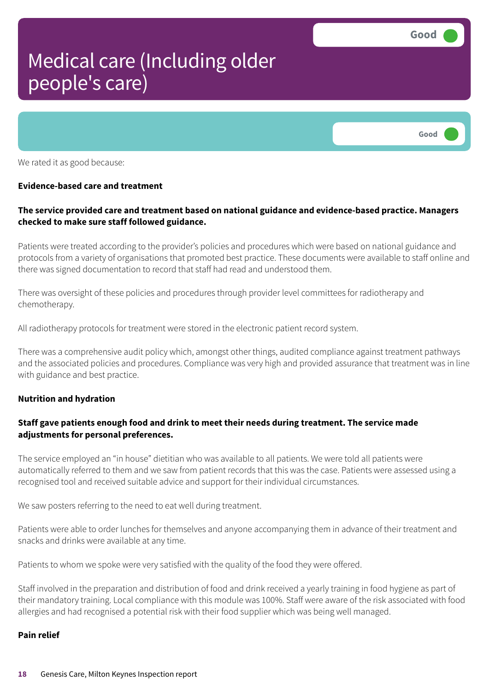

We rated it as good because:

#### **Evidence-based care and treatment**

#### **The service provided care and treatment based on national guidance and evidence-based practice. Managers checked to make sure staff followed guidance.**

Patients were treated according to the provider's policies and procedures which were based on national guidance and protocols from a variety of organisations that promoted best practice. These documents were available to staff online and there was signed documentation to record that staff had read and understood them.

There was oversight of these policies and procedures through provider level committees for radiotherapy and chemotherapy.

All radiotherapy protocols for treatment were stored in the electronic patient record system.

There was a comprehensive audit policy which, amongst other things, audited compliance against treatment pathways and the associated policies and procedures. Compliance was very high and provided assurance that treatment was in line with guidance and best practice.

#### **Nutrition and hydration**

#### **Staff gave patients enough food and drink to meet their needs during treatment. The service made adjustments for personal preferences.**

The service employed an "in house" dietitian who was available to all patients. We were told all patients were automatically referred to them and we saw from patient records that this was the case. Patients were assessed using a recognised tool and received suitable advice and support for their individual circumstances.

We saw posters referring to the need to eat well during treatment.

Patients were able to order lunches for themselves and anyone accompanying them in advance of their treatment and snacks and drinks were available at any time.

Patients to whom we spoke were very satisfied with the quality of the food they were offered.

Staff involved in the preparation and distribution of food and drink received a yearly training in food hygiene as part of their mandatory training. Local compliance with this module was 100%. Staff were aware of the risk associated with food allergies and had recognised a potential risk with their food supplier which was being well managed.

#### **Pain relief**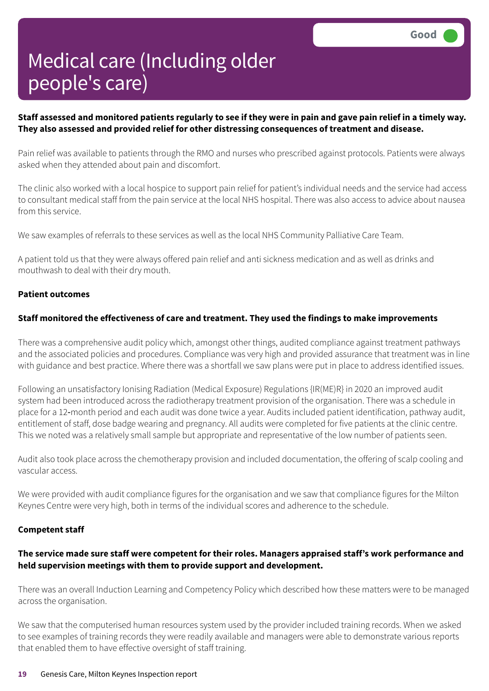#### Staff assessed and monitored patients regularly to see if they were in pain and gave pain relief in a timely way. **They also assessed and provided relief for other distressing consequences of treatment and disease.**

Pain relief was available to patients through the RMO and nurses who prescribed against protocols. Patients were always asked when they attended about pain and discomfort.

The clinic also worked with a local hospice to support pain relief for patient's individual needs and the service had access to consultant medical staff from the pain service at the local NHS hospital. There was also access to advice about nausea from this service.

We saw examples of referrals to these services as well as the local NHS Community Palliative Care Team.

A patient told us that they were always offered pain relief and anti sickness medication and as well as drinks and mouthwash to deal with their dry mouth.

#### **Patient outcomes**

#### **Staff monitored the effectiveness of care and treatment. They used the findings to make improvements**

There was a comprehensive audit policy which, amongst other things, audited compliance against treatment pathways and the associated policies and procedures. Compliance was very high and provided assurance that treatment was in line with guidance and best practice. Where there was a shortfall we saw plans were put in place to address identified issues.

Following an unsatisfactory Ionising Radiation (Medical Exposure) Regulations {IR(ME)R} in 2020 an improved audit system had been introduced across the radiotherapy treatment provision of the organisation. There was a schedule in place for a 12‑month period and each audit was done twice a year. Audits included patient identification, pathway audit, entitlement of staff, dose badge wearing and pregnancy. All audits were completed for five patients at the clinic centre. This we noted was a relatively small sample but appropriate and representative of the low number of patients seen.

Audit also took place across the chemotherapy provision and included documentation, the offering of scalp cooling and vascular access.

We were provided with audit compliance figures for the organisation and we saw that compliance figures for the Milton Keynes Centre were very high, both in terms of the individual scores and adherence to the schedule.

#### **Competent staff**

#### **The service made sure staff were competent for their roles. Managers appraised staff's work performance and held supervision meetings with them to provide support and development.**

There was an overall Induction Learning and Competency Policy which described how these matters were to be managed across the organisation.

We saw that the computerised human resources system used by the provider included training records. When we asked to see examples of training records they were readily available and managers were able to demonstrate various reports that enabled them to have effective oversight of staff training.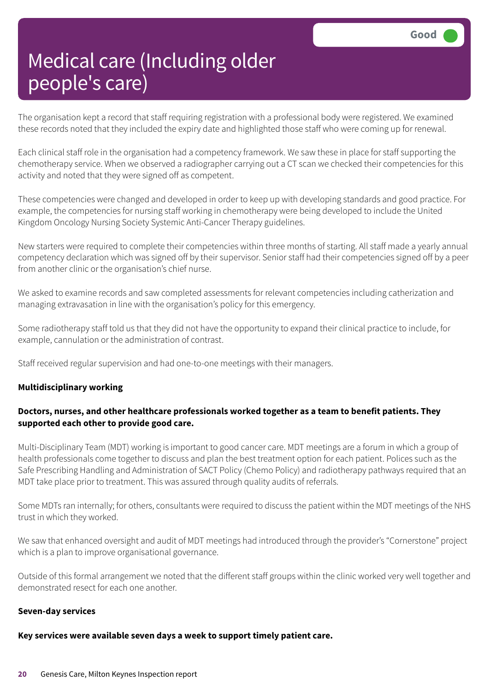The organisation kept a record that staff requiring registration with a professional body were registered. We examined these records noted that they included the expiry date and highlighted those staff who were coming up for renewal.

Each clinical staff role in the organisation had a competency framework. We saw these in place for staff supporting the chemotherapy service. When we observed a radiographer carrying out a CT scan we checked their competencies for this activity and noted that they were signed off as competent.

These competencies were changed and developed in order to keep up with developing standards and good practice. For example, the competencies for nursing staff working in chemotherapy were being developed to include the United Kingdom Oncology Nursing Society Systemic Anti-Cancer Therapy guidelines.

New starters were required to complete their competencies within three months of starting. All staff made a yearly annual competency declaration which was signed off by their supervisor. Senior staff had their competencies signed off by a peer from another clinic or the organisation's chief nurse.

We asked to examine records and saw completed assessments for relevant competencies including catherization and managing extravasation in line with the organisation's policy for this emergency.

Some radiotherapy staff told us that they did not have the opportunity to expand their clinical practice to include, for example, cannulation or the administration of contrast.

Staff received regular supervision and had one-to-one meetings with their managers.

#### **Multidisciplinary working**

#### **Doctors, nurses, and other healthcare professionals worked together as a team to benefit patients. They supported each other to provide good care.**

Multi-Disciplinary Team (MDT) working is important to good cancer care. MDT meetings are a forum in which a group of health professionals come together to discuss and plan the best treatment option for each patient. Polices such as the Safe Prescribing Handling and Administration of SACT Policy (Chemo Policy) and radiotherapy pathways required that an MDT take place prior to treatment. This was assured through quality audits of referrals.

Some MDTs ran internally; for others, consultants were required to discuss the patient within the MDT meetings of the NHS trust in which they worked.

We saw that enhanced oversight and audit of MDT meetings had introduced through the provider's "Cornerstone" project which is a plan to improve organisational governance.

Outside of this formal arrangement we noted that the different staff groups within the clinic worked very well together and demonstrated resect for each one another.

#### **Seven-day services**

#### **Key services were available seven days a week to support timely patient care.**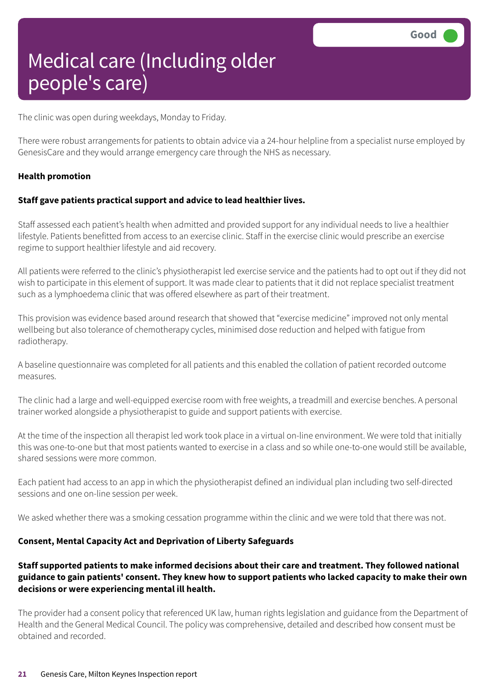The clinic was open during weekdays, Monday to Friday.

There were robust arrangements for patients to obtain advice via a 24-hour helpline from a specialist nurse employed by GenesisCare and they would arrange emergency care through the NHS as necessary.

#### **Health promotion**

#### **Staff gave patients practical support and advice to lead healthier lives.**

Staff assessed each patient's health when admitted and provided support for any individual needs to live a healthier lifestyle. Patients benefitted from access to an exercise clinic. Staff in the exercise clinic would prescribe an exercise regime to support healthier lifestyle and aid recovery.

All patients were referred to the clinic's physiotherapist led exercise service and the patients had to opt out if they did not wish to participate in this element of support. It was made clear to patients that it did not replace specialist treatment such as a lymphoedema clinic that was offered elsewhere as part of their treatment.

This provision was evidence based around research that showed that "exercise medicine" improved not only mental wellbeing but also tolerance of chemotherapy cycles, minimised dose reduction and helped with fatigue from radiotherapy.

A baseline questionnaire was completed for all patients and this enabled the collation of patient recorded outcome measures.

The clinic had a large and well-equipped exercise room with free weights, a treadmill and exercise benches. A personal trainer worked alongside a physiotherapist to guide and support patients with exercise.

At the time of the inspection all therapist led work took place in a virtual on-line environment. We were told that initially this was one-to-one but that most patients wanted to exercise in a class and so while one-to-one would still be available, shared sessions were more common.

Each patient had access to an app in which the physiotherapist defined an individual plan including two self-directed sessions and one on-line session per week.

We asked whether there was a smoking cessation programme within the clinic and we were told that there was not.

#### **Consent, Mental Capacity Act and Deprivation of Liberty Safeguards**

#### **Staff supported patients to make informed decisions about their care and treatment. They followed national** guidance to gain patients' consent. They knew how to support patients who lacked capacity to make their own **decisions or were experiencing mental ill health.**

The provider had a consent policy that referenced UK law, human rights legislation and guidance from the Department of Health and the General Medical Council. The policy was comprehensive, detailed and described how consent must be obtained and recorded.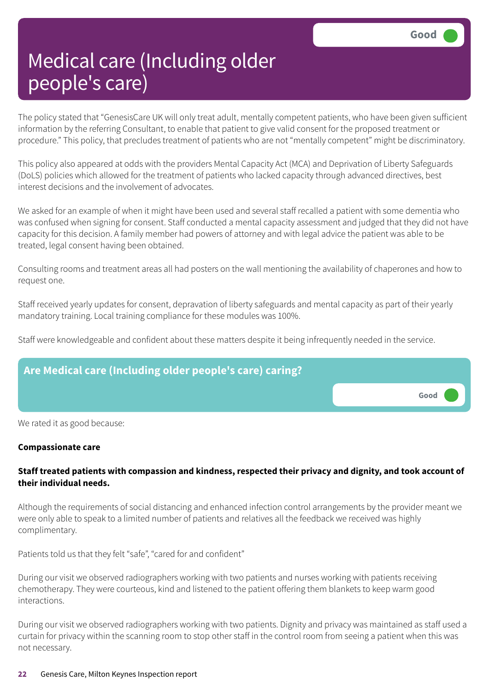The policy stated that "GenesisCare UK will only treat adult, mentally competent patients, who have been given sufficient information by the referring Consultant, to enable that patient to give valid consent for the proposed treatment or procedure." This policy, that precludes treatment of patients who are not "mentally competent" might be discriminatory.

This policy also appeared at odds with the providers Mental Capacity Act (MCA) and Deprivation of Liberty Safeguards (DoLS) policies which allowed for the treatment of patients who lacked capacity through advanced directives, best interest decisions and the involvement of advocates.

We asked for an example of when it might have been used and several staff recalled a patient with some dementia who was confused when signing for consent. Staff conducted a mental capacity assessment and judged that they did not have capacity for this decision. A family member had powers of attorney and with legal advice the patient was able to be treated, legal consent having been obtained.

Consulting rooms and treatment areas all had posters on the wall mentioning the availability of chaperones and how to request one.

Staff received yearly updates for consent, depravation of liberty safeguards and mental capacity as part of their yearly mandatory training. Local training compliance for these modules was 100%.

Staff were knowledgeable and confident about these matters despite it being infrequently needed in the service.



We rated it as good because:

#### **Compassionate care**

#### **Staff treated patients with compassion and kindness, respected their privacy and dignity, and took account of their individual needs.**

Although the requirements of social distancing and enhanced infection control arrangements by the provider meant we were only able to speak to a limited number of patients and relatives all the feedback we received was highly complimentary.

Patients told us that they felt "safe", "cared for and confident"

During our visit we observed radiographers working with two patients and nurses working with patients receiving chemotherapy. They were courteous, kind and listened to the patient offering them blankets to keep warm good interactions.

During our visit we observed radiographers working with two patients. Dignity and privacy was maintained as staff used a curtain for privacy within the scanning room to stop other staff in the control room from seeing a patient when this was not necessary.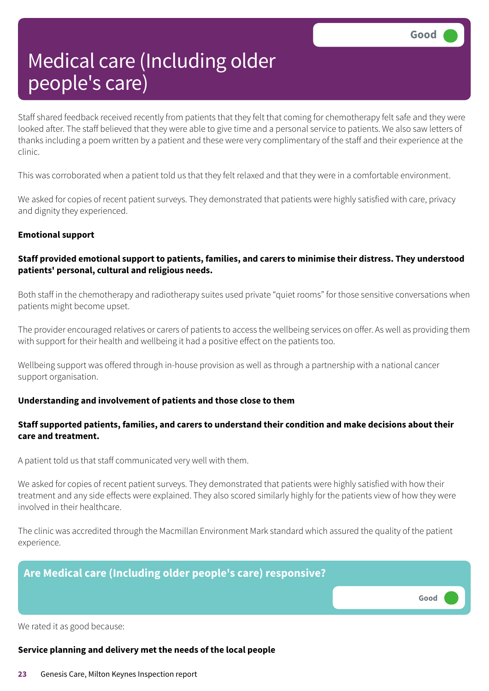Staff shared feedback received recently from patients that they felt that coming for chemotherapy felt safe and they were looked after. The staff believed that they were able to give time and a personal service to patients. We also saw letters of thanks including a poem written by a patient and these were very complimentary of the staff and their experience at the clinic.

This was corroborated when a patient told us that they felt relaxed and that they were in a comfortable environment.

We asked for copies of recent patient surveys. They demonstrated that patients were highly satisfied with care, privacy and dignity they experienced.

#### **Emotional support**

#### **Staff provided emotional support to patients, families, and carers to minimise their distress. They understood patients' personal, cultural and religious needs.**

Both staff in the chemotherapy and radiotherapy suites used private "quiet rooms" for those sensitive conversations when patients might become upset.

The provider encouraged relatives or carers of patients to access the wellbeing services on offer. As well as providing them with support for their health and wellbeing it had a positive effect on the patients too.

Wellbeing support was offered through in-house provision as well as through a partnership with a national cancer support organisation.

#### **Understanding and involvement of patients and those close to them**

#### **Staff supported patients, families, and carers to understand their condition and make decisions about their care and treatment.**

A patient told us that staff communicated very well with them.

We asked for copies of recent patient surveys. They demonstrated that patients were highly satisfied with how their treatment and any side effects were explained. They also scored similarly highly for the patients view of how they were involved in their healthcare.

The clinic was accredited through the Macmillan Environment Mark standard which assured the quality of the patient experience.

#### **Are Medical care (Including older people's care) responsive?**

**Good –––**

We rated it as good because:

#### **Service planning and delivery met the needs of the local people**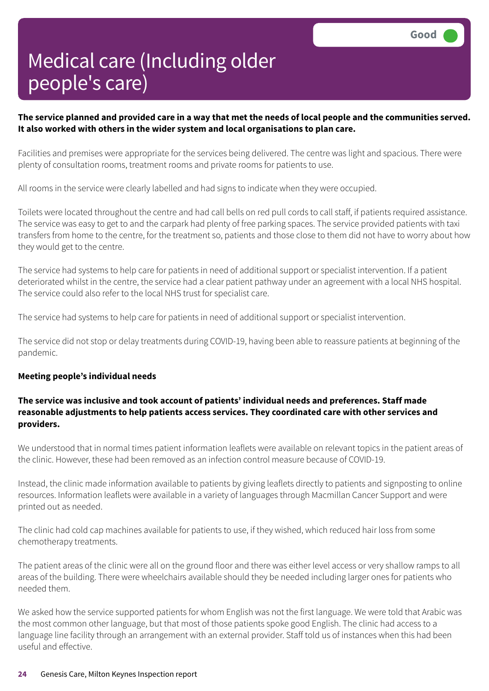#### The service planned and provided care in a way that met the needs of local people and the communities served. **It also worked with others in the wider system and local organisations to plan care.**

Facilities and premises were appropriate for the services being delivered. The centre was light and spacious. There were plenty of consultation rooms, treatment rooms and private rooms for patients to use.

All rooms in the service were clearly labelled and had signs to indicate when they were occupied.

Toilets were located throughout the centre and had call bells on red pull cords to call staff, if patients required assistance. The service was easy to get to and the carpark had plenty of free parking spaces. The service provided patients with taxi transfers from home to the centre, for the treatment so, patients and those close to them did not have to worry about how they would get to the centre.

The service had systems to help care for patients in need of additional support or specialist intervention. If a patient deteriorated whilst in the centre, the service had a clear patient pathway under an agreement with a local NHS hospital. The service could also refer to the local NHS trust for specialist care.

The service had systems to help care for patients in need of additional support or specialist intervention.

The service did not stop or delay treatments during COVID-19, having been able to reassure patients at beginning of the pandemic.

#### **Meeting people's individual needs**

#### **The service was inclusive and took account of patients' individual needs and preferences. Staff made reasonable adjustments to help patients access services. They coordinated care with other services and providers.**

We understood that in normal times patient information leaflets were available on relevant topics in the patient areas of the clinic. However, these had been removed as an infection control measure because of COVID-19.

Instead, the clinic made information available to patients by giving leaflets directly to patients and signposting to online resources. Information leaflets were available in a variety of languages through Macmillan Cancer Support and were printed out as needed.

The clinic had cold cap machines available for patients to use, if they wished, which reduced hair loss from some chemotherapy treatments.

The patient areas of the clinic were all on the ground floor and there was either level access or very shallow ramps to all areas of the building. There were wheelchairs available should they be needed including larger ones for patients who needed them.

We asked how the service supported patients for whom English was not the first language. We were told that Arabic was the most common other language, but that most of those patients spoke good English. The clinic had access to a language line facility through an arrangement with an external provider. Staff told us of instances when this had been useful and effective.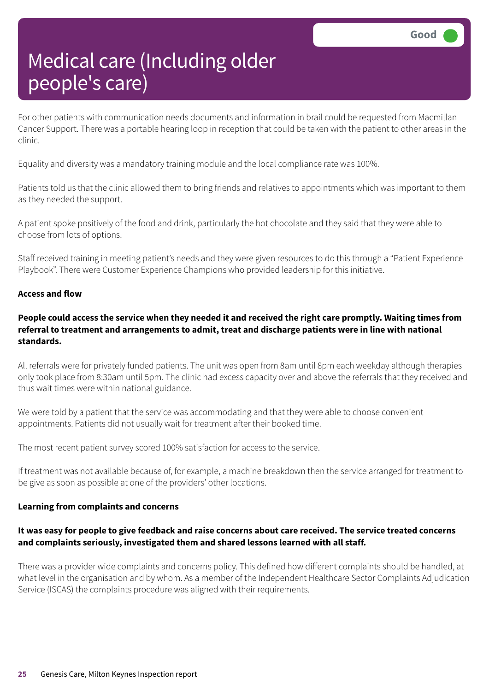For other patients with communication needs documents and information in brail could be requested from Macmillan Cancer Support. There was a portable hearing loop in reception that could be taken with the patient to other areas in the clinic.

Equality and diversity was a mandatory training module and the local compliance rate was 100%.

Patients told us that the clinic allowed them to bring friends and relatives to appointments which was important to them as they needed the support.

A patient spoke positively of the food and drink, particularly the hot chocolate and they said that they were able to choose from lots of options.

Staff received training in meeting patient's needs and they were given resources to do this through a "Patient Experience Playbook". There were Customer Experience Champions who provided leadership for this initiative.

#### **Access and flow**

#### People could access the service when they needed it and received the right care promptly. Waiting times from **referral to treatment and arrangements to admit, treat and discharge patients were in line with national standards.**

All referrals were for privately funded patients. The unit was open from 8am until 8pm each weekday although therapies only took place from 8:30am until 5pm. The clinic had excess capacity over and above the referrals that they received and thus wait times were within national guidance.

We were told by a patient that the service was accommodating and that they were able to choose convenient appointments. Patients did not usually wait for treatment after their booked time.

The most recent patient survey scored 100% satisfaction for access to the service.

If treatment was not available because of, for example, a machine breakdown then the service arranged for treatment to be give as soon as possible at one of the providers' other locations.

#### **Learning from complaints and concerns**

#### It was easy for people to give feedback and raise concerns about care received. The service treated concerns **and complaints seriously, investigated them and shared lessons learned with all staff.**

There was a provider wide complaints and concerns policy. This defined how different complaints should be handled, at what level in the organisation and by whom. As a member of the Independent Healthcare Sector Complaints Adjudication Service (ISCAS) the complaints procedure was aligned with their requirements.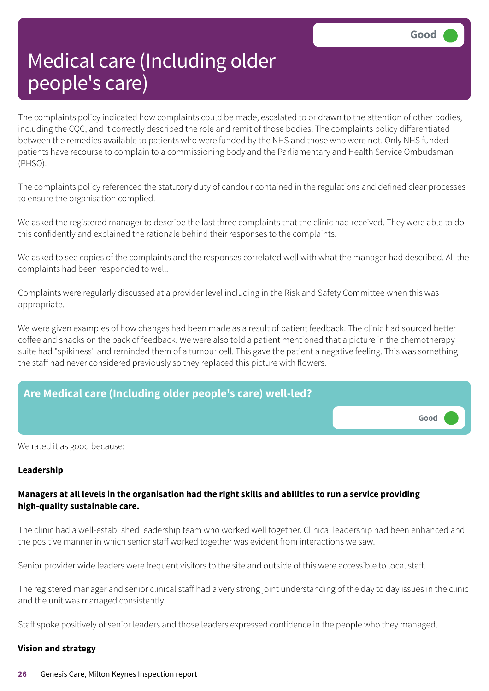The complaints policy indicated how complaints could be made, escalated to or drawn to the attention of other bodies, including the CQC, and it correctly described the role and remit of those bodies. The complaints policy differentiated between the remedies available to patients who were funded by the NHS and those who were not. Only NHS funded patients have recourse to complain to a commissioning body and the Parliamentary and Health Service Ombudsman (PHSO).

The complaints policy referenced the statutory duty of candour contained in the regulations and defined clear processes to ensure the organisation complied.

We asked the registered manager to describe the last three complaints that the clinic had received. They were able to do this confidently and explained the rationale behind their responses to the complaints.

We asked to see copies of the complaints and the responses correlated well with what the manager had described. All the complaints had been responded to well.

Complaints were regularly discussed at a provider level including in the Risk and Safety Committee when this was appropriate.

We were given examples of how changes had been made as a result of patient feedback. The clinic had sourced better coffee and snacks on the back of feedback. We were also told a patient mentioned that a picture in the chemotherapy suite had "spikiness" and reminded them of a tumour cell. This gave the patient a negative feeling. This was something the staff had never considered previously so they replaced this picture with flowers.



We rated it as good because:

#### **Leadership**

#### Managers at all levels in the organisation had the right skills and abilities to run a service providing **high-quality sustainable care.**

The clinic had a well-established leadership team who worked well together. Clinical leadership had been enhanced and the positive manner in which senior staff worked together was evident from interactions we saw.

Senior provider wide leaders were frequent visitors to the site and outside of this were accessible to local staff.

The registered manager and senior clinical staff had a very strong joint understanding of the day to day issues in the clinic and the unit was managed consistently.

Staff spoke positively of senior leaders and those leaders expressed confidence in the people who they managed.

#### **Vision and strategy**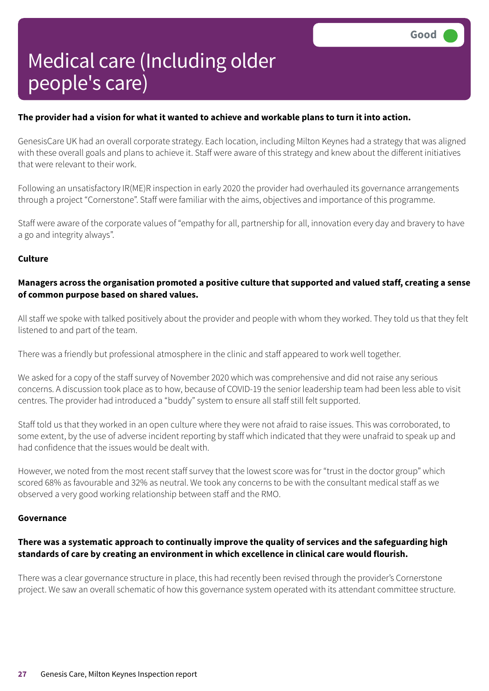#### The provider had a vision for what it wanted to achieve and workable plans to turn it into action.

GenesisCare UK had an overall corporate strategy. Each location, including Milton Keynes had a strategy that was aligned with these overall goals and plans to achieve it. Staff were aware of this strategy and knew about the different initiatives that were relevant to their work.

Following an unsatisfactory IR(ME)R inspection in early 2020 the provider had overhauled its governance arrangements through a project "Cornerstone". Staff were familiar with the aims, objectives and importance of this programme.

Staff were aware of the corporate values of "empathy for all, partnership for all, innovation every day and bravery to have a go and integrity always".

#### **Culture**

#### **Managers across the organisation promoted a positive culture that supported and valued staff, creating a sense of common purpose based on shared values.**

All staff we spoke with talked positively about the provider and people with whom they worked. They told us that they felt listened to and part of the team.

There was a friendly but professional atmosphere in the clinic and staff appeared to work well together.

We asked for a copy of the staff survey of November 2020 which was comprehensive and did not raise any serious concerns. A discussion took place as to how, because of COVID-19 the senior leadership team had been less able to visit centres. The provider had introduced a "buddy" system to ensure all staff still felt supported.

Staff told us that they worked in an open culture where they were not afraid to raise issues. This was corroborated, to some extent, by the use of adverse incident reporting by staff which indicated that they were unafraid to speak up and had confidence that the issues would be dealt with.

However, we noted from the most recent staff survey that the lowest score was for "trust in the doctor group" which scored 68% as favourable and 32% as neutral. We took any concerns to be with the consultant medical staff as we observed a very good working relationship between staff and the RMO.

#### **Governance**

#### **There was a systematic approach to continually improve the quality of services and the safeguarding high standards of care by creating an environment in which excellence in clinical care would flourish.**

There was a clear governance structure in place, this had recently been revised through the provider's Cornerstone project. We saw an overall schematic of how this governance system operated with its attendant committee structure.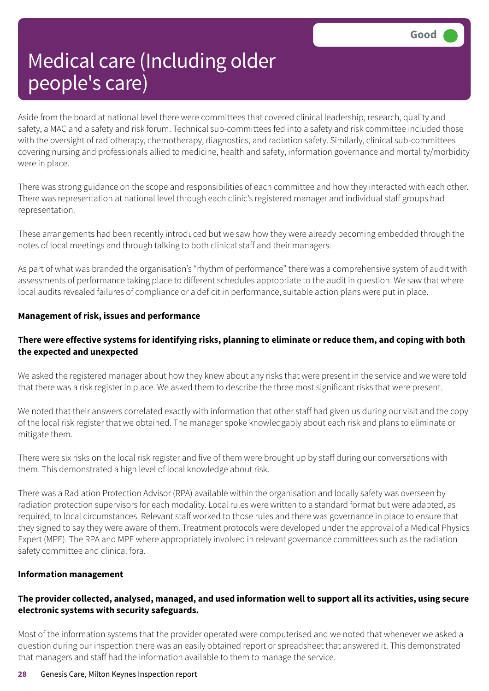Aside from the board at national level there were committees that covered clinical leadership, research, quality and safety, a MAC and a safety and risk forum. Technical sub-committees fed into a safety and risk committee included those with the oversight of radiotherapy, chemotherapy, diagnostics, and radiation safety. Similarly, clinical sub-committees covering nursing and professionals allied to medicine, health and safety, information governance and mortality/morbidity were in place.

There was strong guidance on the scope and responsibilities of each committee and how they interacted with each other. There was representation at national level through each clinic's registered manager and individual staff groups had representation.

These arrangements had been recently introduced but we saw how they were already becoming embedded through the notes of local meetings and through talking to both clinical staff and their managers.

As part of what was branded the organisation's "rhythm of performance" there was a comprehensive system of audit with assessments of performance taking place to different schedules appropriate to the audit in question. We saw that where local audits revealed failures of compliance or a deficit in performance, suitable action plans were put in place.

#### **Management of risk, issues and performance**

#### There were effective systems for identifying risks, planning to eliminate or reduce them, and coping with both **the expected and unexpected**

We asked the registered manager about how they knew about any risks that were present in the service and we were told that there was a risk register in place. We asked them to describe the three most significant risks that were present.

We noted that their answers correlated exactly with information that other staff had given us during our visit and the copy of the local risk register that we obtained. The manager spoke knowledgably about each risk and plans to eliminate or mitigate them.

There were six risks on the local risk register and five of them were brought up by staff during our conversations with them. This demonstrated a high level of local knowledge about risk.

There was a Radiation Protection Advisor (RPA) available within the organisation and locally safety was overseen by radiation protection supervisors for each modality. Local rules were written to a standard format but were adapted, as required, to local circumstances. Relevant staff worked to those rules and there was governance in place to ensure that they signed to say they were aware of them. Treatment protocols were developed under the approval of a Medical Physics Expert (MPE). The RPA and MPE where appropriately involved in relevant governance committees such as the radiation safety committee and clinical fora.

#### **Information management**

#### **The provider collected, analysed, managed, and used information well to support all its activities, using secure electronic systems with security safeguards.**

Most of the information systems that the provider operated were computerised and we noted that whenever we asked a question during our inspection there was an easily obtained report or spreadsheet that answered it. This demonstrated that managers and staff had the information available to them to manage the service.